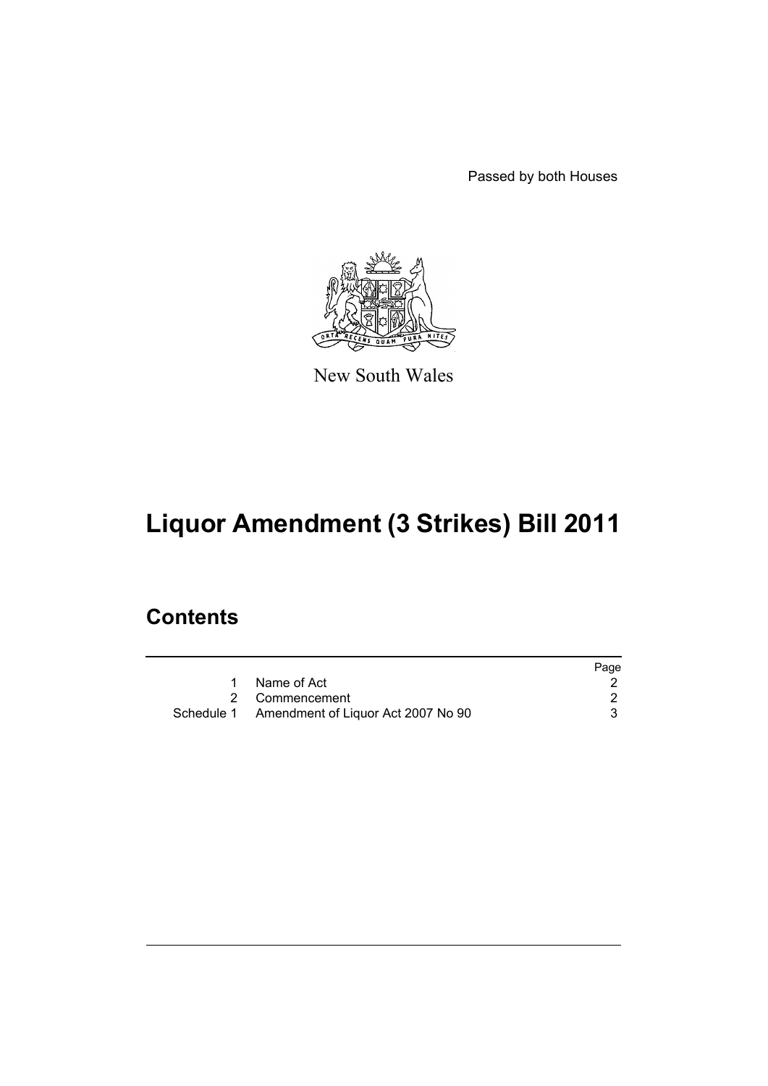Passed by both Houses



New South Wales

# **Liquor Amendment (3 Strikes) Bill 2011**

# **Contents**

|                                               | Page |
|-----------------------------------------------|------|
| 1 Name of Act                                 |      |
| 2 Commencement                                |      |
| Schedule 1 Amendment of Liquor Act 2007 No 90 |      |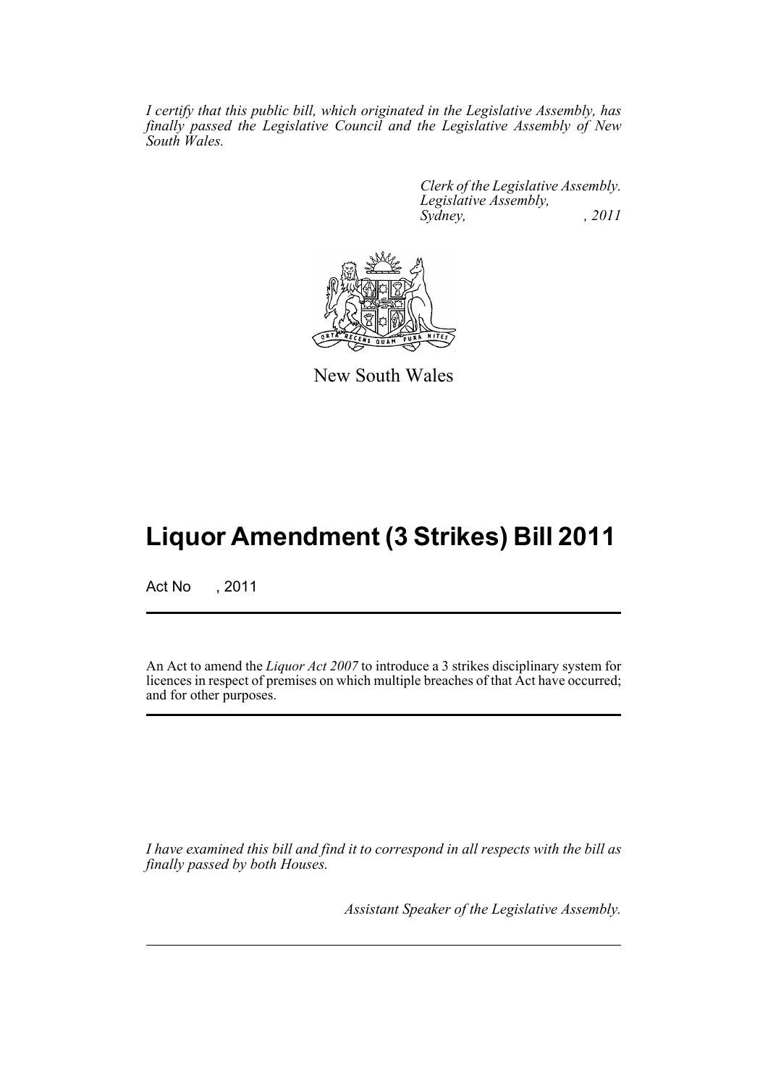*I certify that this public bill, which originated in the Legislative Assembly, has finally passed the Legislative Council and the Legislative Assembly of New South Wales.*

> *Clerk of the Legislative Assembly. Legislative Assembly, Sydney, , 2011*



New South Wales

# **Liquor Amendment (3 Strikes) Bill 2011**

Act No , 2011

An Act to amend the *Liquor Act 2007* to introduce a 3 strikes disciplinary system for licences in respect of premises on which multiple breaches of that Act have occurred; and for other purposes.

*I have examined this bill and find it to correspond in all respects with the bill as finally passed by both Houses.*

*Assistant Speaker of the Legislative Assembly.*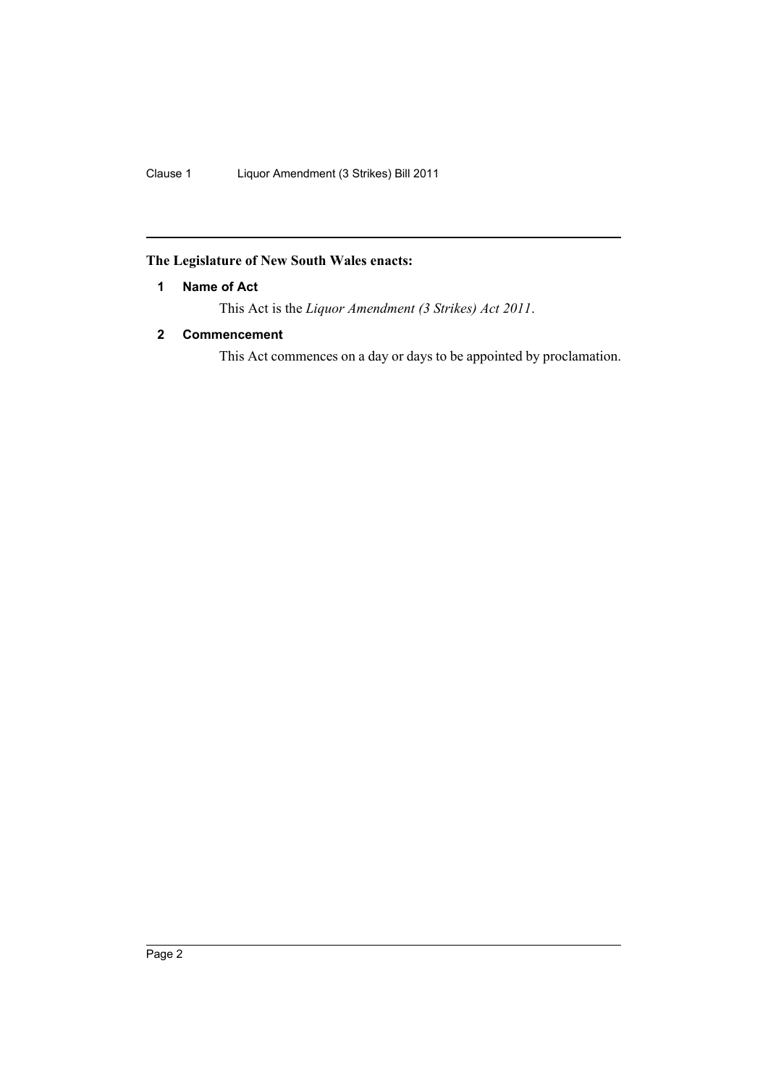Clause 1 Liquor Amendment (3 Strikes) Bill 2011

# <span id="page-3-0"></span>**The Legislature of New South Wales enacts:**

### **1 Name of Act**

This Act is the *Liquor Amendment (3 Strikes) Act 2011*.

### <span id="page-3-1"></span>**2 Commencement**

This Act commences on a day or days to be appointed by proclamation.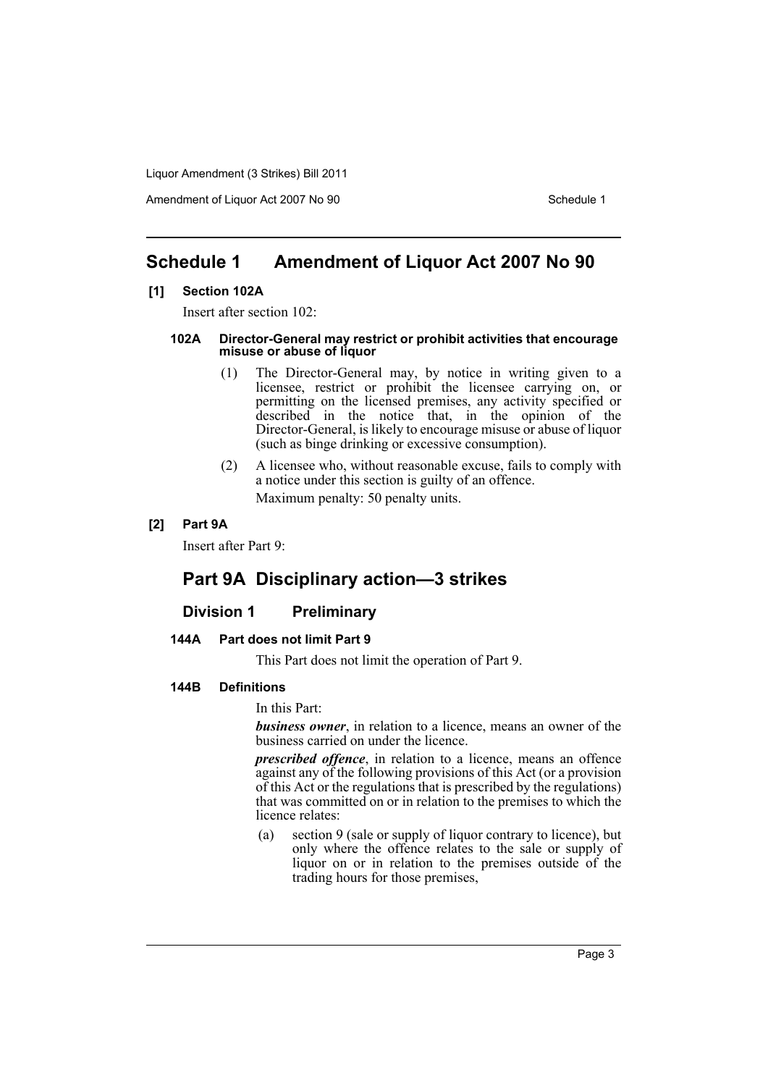Amendment of Liquor Act 2007 No 90 Schedule 1

# <span id="page-4-0"></span>**Schedule 1 Amendment of Liquor Act 2007 No 90**

#### **[1] Section 102A**

Insert after section 102:

#### **102A Director-General may restrict or prohibit activities that encourage misuse or abuse of liquor**

- (1) The Director-General may, by notice in writing given to a licensee, restrict or prohibit the licensee carrying on, or permitting on the licensed premises, any activity specified or described in the notice that, in the opinion of the Director-General, is likely to encourage misuse or abuse of liquor (such as binge drinking or excessive consumption).
- (2) A licensee who, without reasonable excuse, fails to comply with a notice under this section is guilty of an offence. Maximum penalty: 50 penalty units.

#### **[2] Part 9A**

Insert after Part 9:

# **Part 9A Disciplinary action—3 strikes**

#### **Division 1 Preliminary**

#### **144A Part does not limit Part 9**

This Part does not limit the operation of Part 9.

#### **144B Definitions**

In this Part:

*business owner*, in relation to a licence, means an owner of the business carried on under the licence.

*prescribed offence*, in relation to a licence, means an offence against any of the following provisions of this Act (or a provision of this Act or the regulations that is prescribed by the regulations) that was committed on or in relation to the premises to which the licence relates:

(a) section 9 (sale or supply of liquor contrary to licence), but only where the offence relates to the sale or supply of liquor on or in relation to the premises outside of the trading hours for those premises,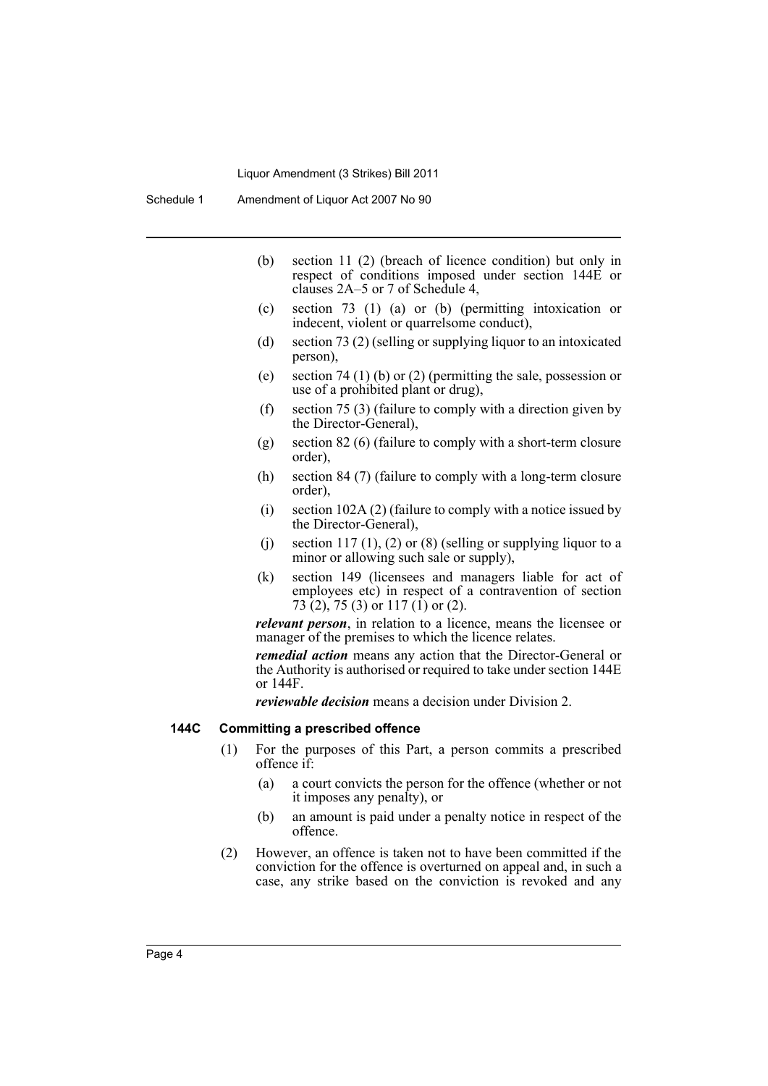- (b) section 11 (2) (breach of licence condition) but only in respect of conditions imposed under section 144E or clauses 2A–5 or 7 of Schedule 4,
- (c) section 73 (1) (a) or (b) (permitting intoxication or indecent, violent or quarrelsome conduct),
- (d) section 73 (2) (selling or supplying liquor to an intoxicated person),
- (e) section 74 (1) (b) or (2) (permitting the sale, possession or use of a prohibited plant or drug),
- (f) section 75 (3) (failure to comply with a direction given by the Director-General),
- (g) section 82 (6) (failure to comply with a short-term closure order),
- (h) section 84 (7) (failure to comply with a long-term closure order),
- (i) section 102A (2) (failure to comply with a notice issued by the Director-General),
- (j) section 117 (1), (2) or (8) (selling or supplying liquor to a minor or allowing such sale or supply),
- (k) section 149 (licensees and managers liable for act of employees etc) in respect of a contravention of section 73 (2), 75 (3) or 117 (1) or (2).

*relevant person*, in relation to a licence, means the licensee or manager of the premises to which the licence relates.

*remedial action* means any action that the Director-General or the Authority is authorised or required to take under section 144E or 144F.

*reviewable decision* means a decision under Division 2.

#### **144C Committing a prescribed offence**

- (1) For the purposes of this Part, a person commits a prescribed offence if:
	- (a) a court convicts the person for the offence (whether or not it imposes any penalty), or
	- (b) an amount is paid under a penalty notice in respect of the offence.
- (2) However, an offence is taken not to have been committed if the conviction for the offence is overturned on appeal and, in such a case, any strike based on the conviction is revoked and any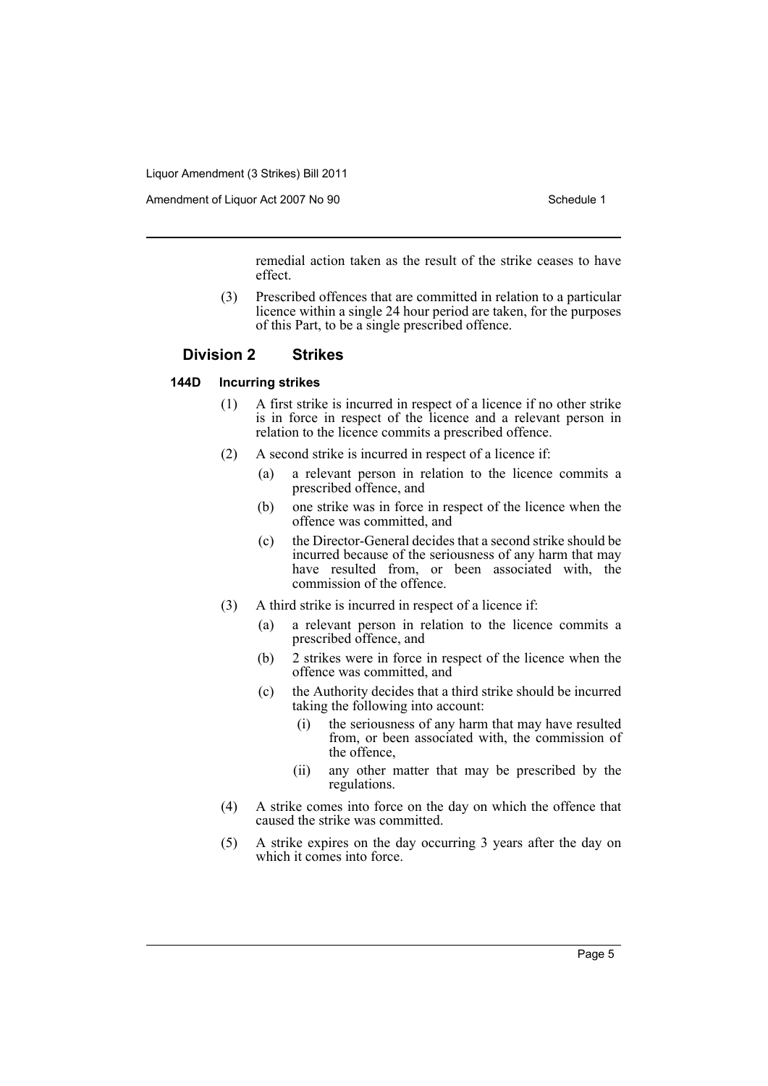Amendment of Liquor Act 2007 No 90 Schedule 1

remedial action taken as the result of the strike ceases to have effect.

(3) Prescribed offences that are committed in relation to a particular licence within a single 24 hour period are taken, for the purposes of this Part, to be a single prescribed offence.

#### **Division 2 Strikes**

#### **144D Incurring strikes**

- (1) A first strike is incurred in respect of a licence if no other strike is in force in respect of the licence and a relevant person in relation to the licence commits a prescribed offence.
- (2) A second strike is incurred in respect of a licence if:
	- (a) a relevant person in relation to the licence commits a prescribed offence, and
	- (b) one strike was in force in respect of the licence when the offence was committed, and
	- (c) the Director-General decides that a second strike should be incurred because of the seriousness of any harm that may have resulted from, or been associated with, the commission of the offence.
- (3) A third strike is incurred in respect of a licence if:
	- (a) a relevant person in relation to the licence commits a prescribed offence, and
	- (b) 2 strikes were in force in respect of the licence when the offence was committed, and
	- (c) the Authority decides that a third strike should be incurred taking the following into account:
		- (i) the seriousness of any harm that may have resulted from, or been associated with, the commission of the offence,
		- (ii) any other matter that may be prescribed by the regulations.
- (4) A strike comes into force on the day on which the offence that caused the strike was committed.
- (5) A strike expires on the day occurring 3 years after the day on which it comes into force.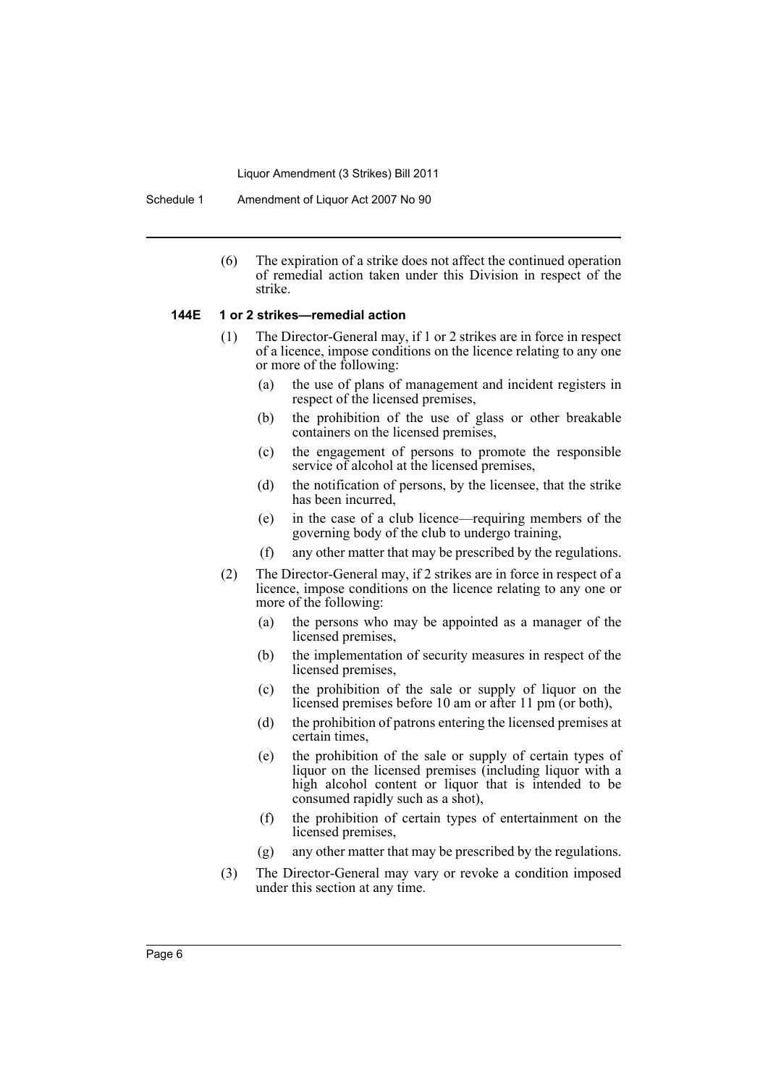Schedule 1 Amendment of Liquor Act 2007 No 90

(6) The expiration of a strike does not affect the continued operation of remedial action taken under this Division in respect of the strike.

#### **144E 1 or 2 strikes—remedial action**

- (1) The Director-General may, if 1 or 2 strikes are in force in respect of a licence, impose conditions on the licence relating to any one or more of the following:
	- (a) the use of plans of management and incident registers in respect of the licensed premises,
	- (b) the prohibition of the use of glass or other breakable containers on the licensed premises,
	- (c) the engagement of persons to promote the responsible service of alcohol at the licensed premises,
	- (d) the notification of persons, by the licensee, that the strike has been incurred,
	- (e) in the case of a club licence—requiring members of the governing body of the club to undergo training,
	- (f) any other matter that may be prescribed by the regulations.
- (2) The Director-General may, if 2 strikes are in force in respect of a licence, impose conditions on the licence relating to any one or more of the following:
	- (a) the persons who may be appointed as a manager of the licensed premises,
	- (b) the implementation of security measures in respect of the licensed premises,
	- (c) the prohibition of the sale or supply of liquor on the licensed premises before 10 am or after 11 pm (or both),
	- (d) the prohibition of patrons entering the licensed premises at certain times,
	- (e) the prohibition of the sale or supply of certain types of liquor on the licensed premises (including liquor with a high alcohol content or liquor that is intended to be consumed rapidly such as a shot),
	- (f) the prohibition of certain types of entertainment on the licensed premises,
	- (g) any other matter that may be prescribed by the regulations.
- (3) The Director-General may vary or revoke a condition imposed under this section at any time.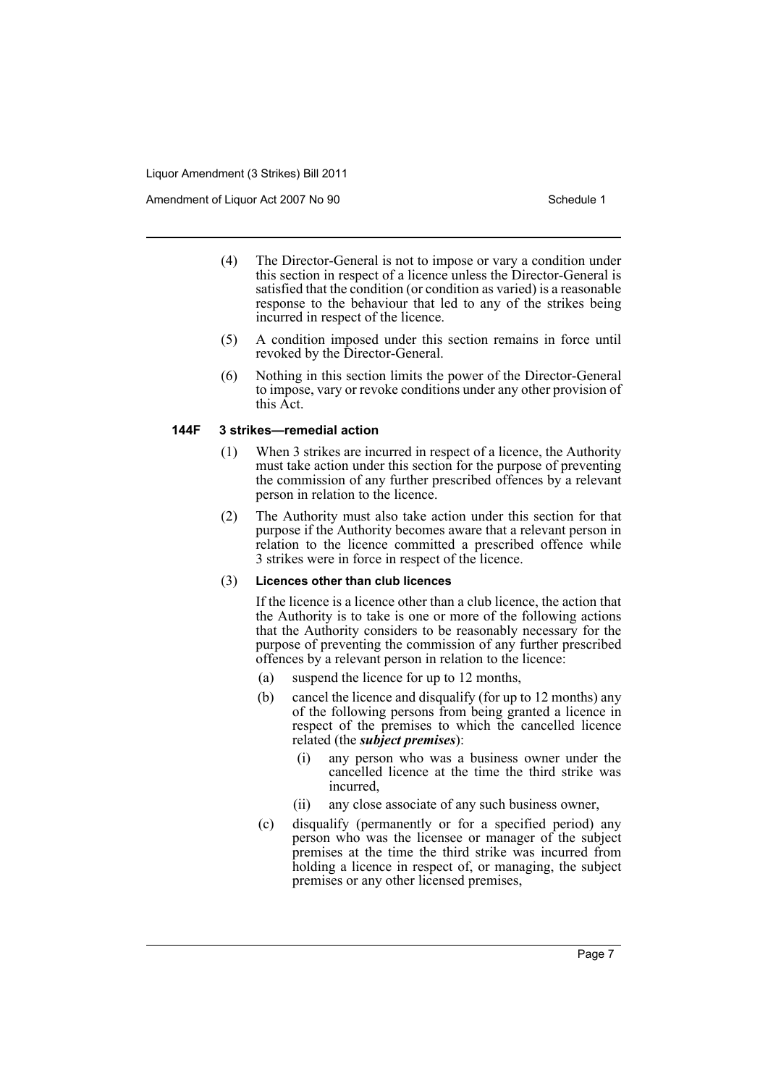Amendment of Liquor Act 2007 No 90 Schedule 1

- (4) The Director-General is not to impose or vary a condition under this section in respect of a licence unless the Director-General is satisfied that the condition (or condition as varied) is a reasonable response to the behaviour that led to any of the strikes being incurred in respect of the licence.
- (5) A condition imposed under this section remains in force until revoked by the Director-General.
- (6) Nothing in this section limits the power of the Director-General to impose, vary or revoke conditions under any other provision of this Act.

#### **144F 3 strikes—remedial action**

- (1) When 3 strikes are incurred in respect of a licence, the Authority must take action under this section for the purpose of preventing the commission of any further prescribed offences by a relevant person in relation to the licence.
- (2) The Authority must also take action under this section for that purpose if the Authority becomes aware that a relevant person in relation to the licence committed a prescribed offence while 3 strikes were in force in respect of the licence.

#### (3) **Licences other than club licences**

If the licence is a licence other than a club licence, the action that the Authority is to take is one or more of the following actions that the Authority considers to be reasonably necessary for the purpose of preventing the commission of any further prescribed offences by a relevant person in relation to the licence:

- (a) suspend the licence for up to 12 months,
- (b) cancel the licence and disqualify (for up to 12 months) any of the following persons from being granted a licence in respect of the premises to which the cancelled licence related (the *subject premises*):
	- (i) any person who was a business owner under the cancelled licence at the time the third strike was incurred,
	- (ii) any close associate of any such business owner,
- (c) disqualify (permanently or for a specified period) any person who was the licensee or manager of the subject premises at the time the third strike was incurred from holding a licence in respect of, or managing, the subject premises or any other licensed premises,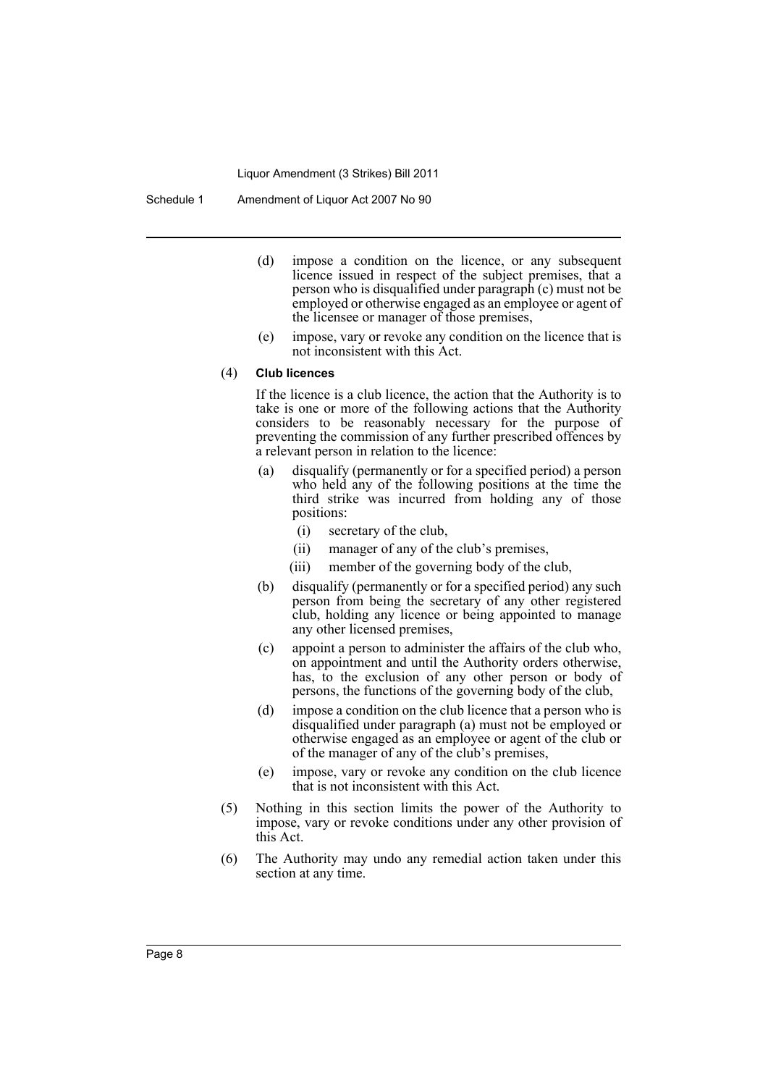Schedule 1 Amendment of Liquor Act 2007 No 90

- (d) impose a condition on the licence, or any subsequent licence issued in respect of the subject premises, that a person who is disqualified under paragraph (c) must not be employed or otherwise engaged as an employee or agent of the licensee or manager of those premises,
- (e) impose, vary or revoke any condition on the licence that is not inconsistent with this Act.

#### (4) **Club licences**

If the licence is a club licence, the action that the Authority is to take is one or more of the following actions that the Authority considers to be reasonably necessary for the purpose of preventing the commission of any further prescribed offences by a relevant person in relation to the licence:

- (a) disqualify (permanently or for a specified period) a person who held any of the following positions at the time the third strike was incurred from holding any of those positions:
	- (i) secretary of the club,
	- (ii) manager of any of the club's premises,
	- (iii) member of the governing body of the club,
- (b) disqualify (permanently or for a specified period) any such person from being the secretary of any other registered club, holding any licence or being appointed to manage any other licensed premises,
- (c) appoint a person to administer the affairs of the club who, on appointment and until the Authority orders otherwise, has, to the exclusion of any other person or body of persons, the functions of the governing body of the club,
- (d) impose a condition on the club licence that a person who is disqualified under paragraph (a) must not be employed or otherwise engaged as an employee or agent of the club or of the manager of any of the club's premises,
- (e) impose, vary or revoke any condition on the club licence that is not inconsistent with this Act.
- (5) Nothing in this section limits the power of the Authority to impose, vary or revoke conditions under any other provision of this Act.
- (6) The Authority may undo any remedial action taken under this section at any time.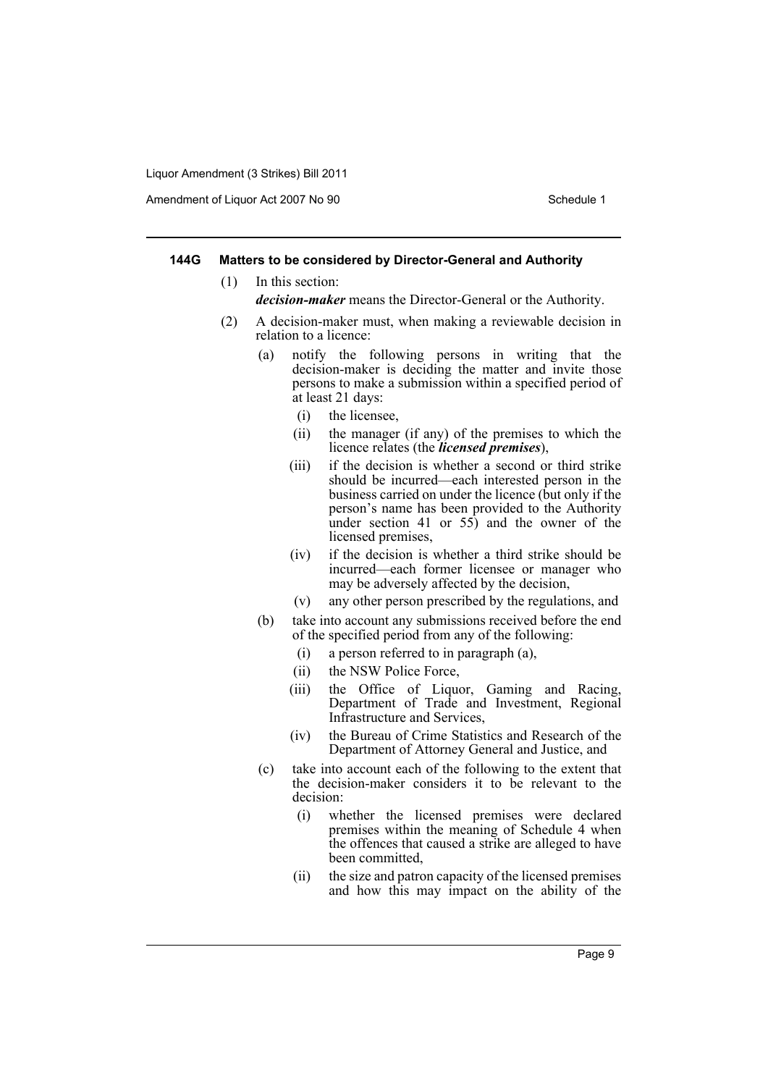Amendment of Liquor Act 2007 No 90 Schedule 1

#### **144G Matters to be considered by Director-General and Authority**

(1) In this section:

- *decision-maker* means the Director-General or the Authority.
- (2) A decision-maker must, when making a reviewable decision in relation to a licence:
	- (a) notify the following persons in writing that the decision-maker is deciding the matter and invite those persons to make a submission within a specified period of at least 21 days:
		- (i) the licensee,
		- (ii) the manager (if any) of the premises to which the licence relates (the *licensed premises*),
		- (iii) if the decision is whether a second or third strike should be incurred—each interested person in the business carried on under the licence (but only if the person's name has been provided to the Authority under section 41 or 55) and the owner of the licensed premises,
		- (iv) if the decision is whether a third strike should be incurred—each former licensee or manager who may be adversely affected by the decision,
		- (v) any other person prescribed by the regulations, and
	- (b) take into account any submissions received before the end of the specified period from any of the following:
		- (i) a person referred to in paragraph (a),
		- (ii) the NSW Police Force,
		- (iii) the Office of Liquor, Gaming and Racing, Department of Trade and Investment, Regional Infrastructure and Services,
		- (iv) the Bureau of Crime Statistics and Research of the Department of Attorney General and Justice, and
	- (c) take into account each of the following to the extent that the decision-maker considers it to be relevant to the decision:
		- (i) whether the licensed premises were declared premises within the meaning of Schedule 4 when the offences that caused a strike are alleged to have been committed,
		- (ii) the size and patron capacity of the licensed premises and how this may impact on the ability of the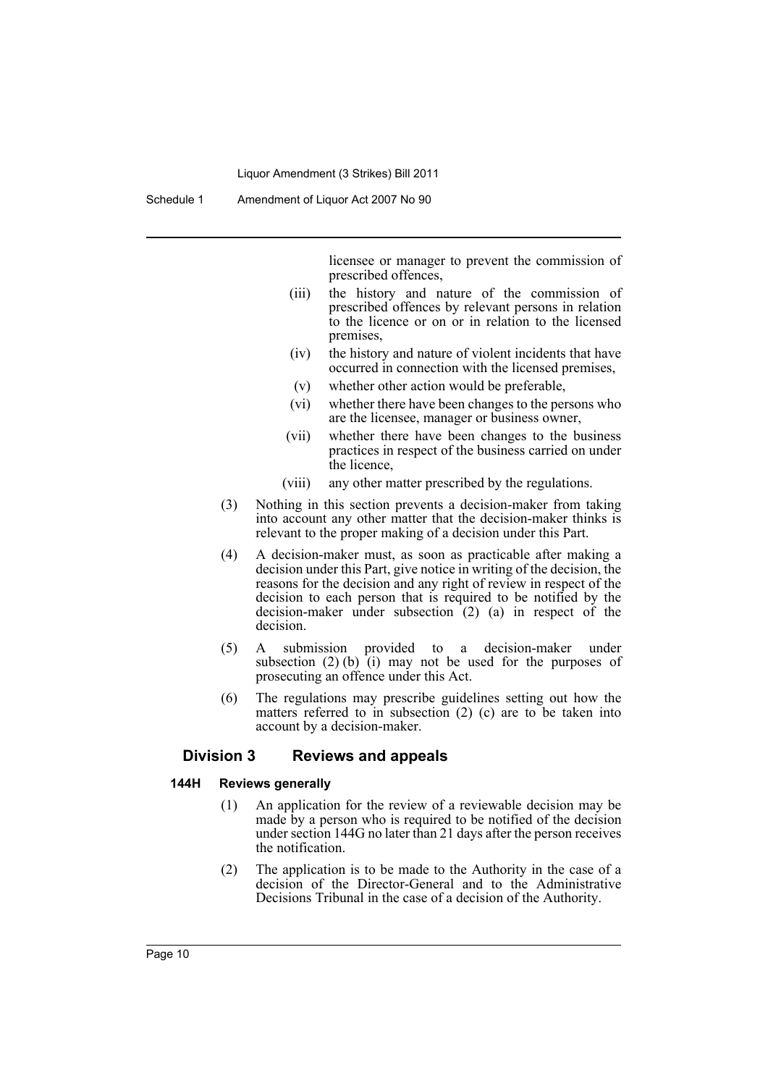Schedule 1 Amendment of Liquor Act 2007 No 90

licensee or manager to prevent the commission of prescribed offences,

- (iii) the history and nature of the commission of prescribed offences by relevant persons in relation to the licence or on or in relation to the licensed premises,
- (iv) the history and nature of violent incidents that have occurred in connection with the licensed premises,
- (v) whether other action would be preferable,
- (vi) whether there have been changes to the persons who are the licensee, manager or business owner,
- (vii) whether there have been changes to the business practices in respect of the business carried on under the licence,
- (viii) any other matter prescribed by the regulations.
- (3) Nothing in this section prevents a decision-maker from taking into account any other matter that the decision-maker thinks is relevant to the proper making of a decision under this Part.
- (4) A decision-maker must, as soon as practicable after making a decision under this Part, give notice in writing of the decision, the reasons for the decision and any right of review in respect of the decision to each person that is required to be notified by the decision-maker under subsection (2) (a) in respect of the decision.
- (5) A submission provided to a decision-maker under subsection  $(2)$  (b) (i) may not be used for the purposes of prosecuting an offence under this Act.
- (6) The regulations may prescribe guidelines setting out how the matters referred to in subsection (2) (c) are to be taken into account by a decision-maker.

#### **Division 3 Reviews and appeals**

#### **144H Reviews generally**

- (1) An application for the review of a reviewable decision may be made by a person who is required to be notified of the decision under section 144G no later than 21 days after the person receives the notification.
- (2) The application is to be made to the Authority in the case of a decision of the Director-General and to the Administrative Decisions Tribunal in the case of a decision of the Authority.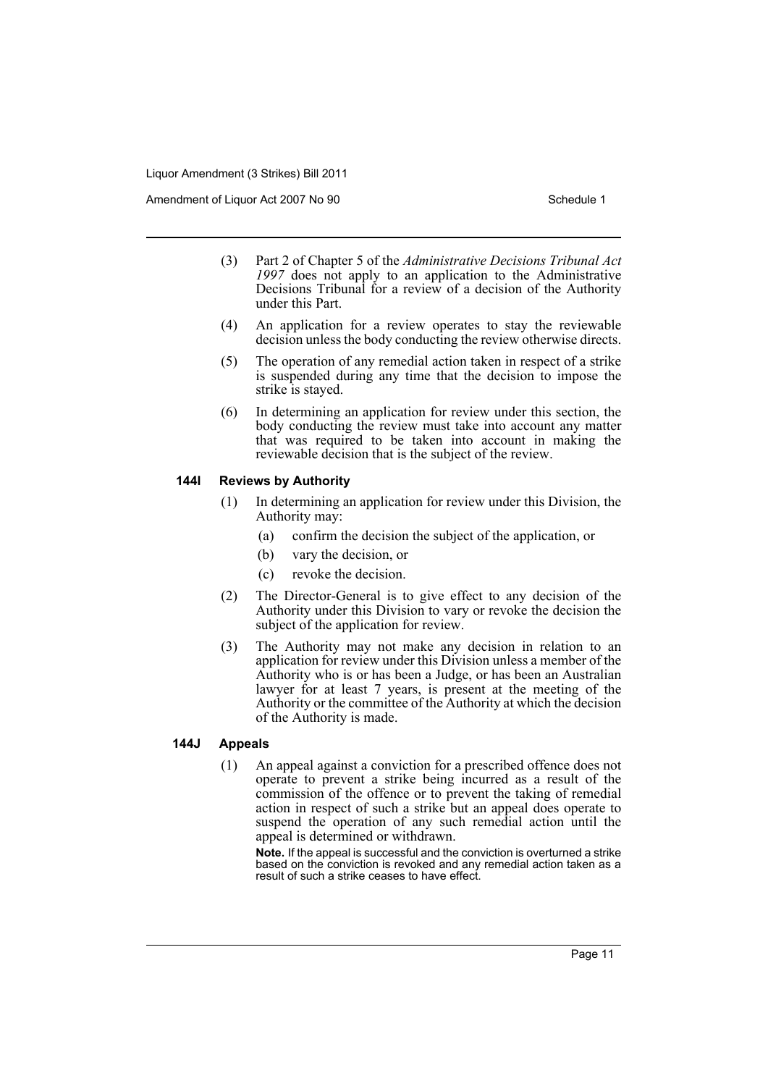Amendment of Liquor Act 2007 No 90 Schedule 1

- (3) Part 2 of Chapter 5 of the *Administrative Decisions Tribunal Act 1997* does not apply to an application to the Administrative Decisions Tribunal for a review of a decision of the Authority under this Part.
- (4) An application for a review operates to stay the reviewable decision unless the body conducting the review otherwise directs.
- (5) The operation of any remedial action taken in respect of a strike is suspended during any time that the decision to impose the strike is stayed.
- (6) In determining an application for review under this section, the body conducting the review must take into account any matter that was required to be taken into account in making the reviewable decision that is the subject of the review.

#### **144I Reviews by Authority**

- (1) In determining an application for review under this Division, the Authority may:
	- (a) confirm the decision the subject of the application, or
	- (b) vary the decision, or
	- (c) revoke the decision.
- (2) The Director-General is to give effect to any decision of the Authority under this Division to vary or revoke the decision the subject of the application for review.
- (3) The Authority may not make any decision in relation to an application for review under this Division unless a member of the Authority who is or has been a Judge, or has been an Australian lawyer for at least 7 years, is present at the meeting of the Authority or the committee of the Authority at which the decision of the Authority is made.

#### **144J Appeals**

(1) An appeal against a conviction for a prescribed offence does not operate to prevent a strike being incurred as a result of the commission of the offence or to prevent the taking of remedial action in respect of such a strike but an appeal does operate to suspend the operation of any such remedial action until the appeal is determined or withdrawn.

**Note.** If the appeal is successful and the conviction is overturned a strike based on the conviction is revoked and any remedial action taken as a result of such a strike ceases to have effect.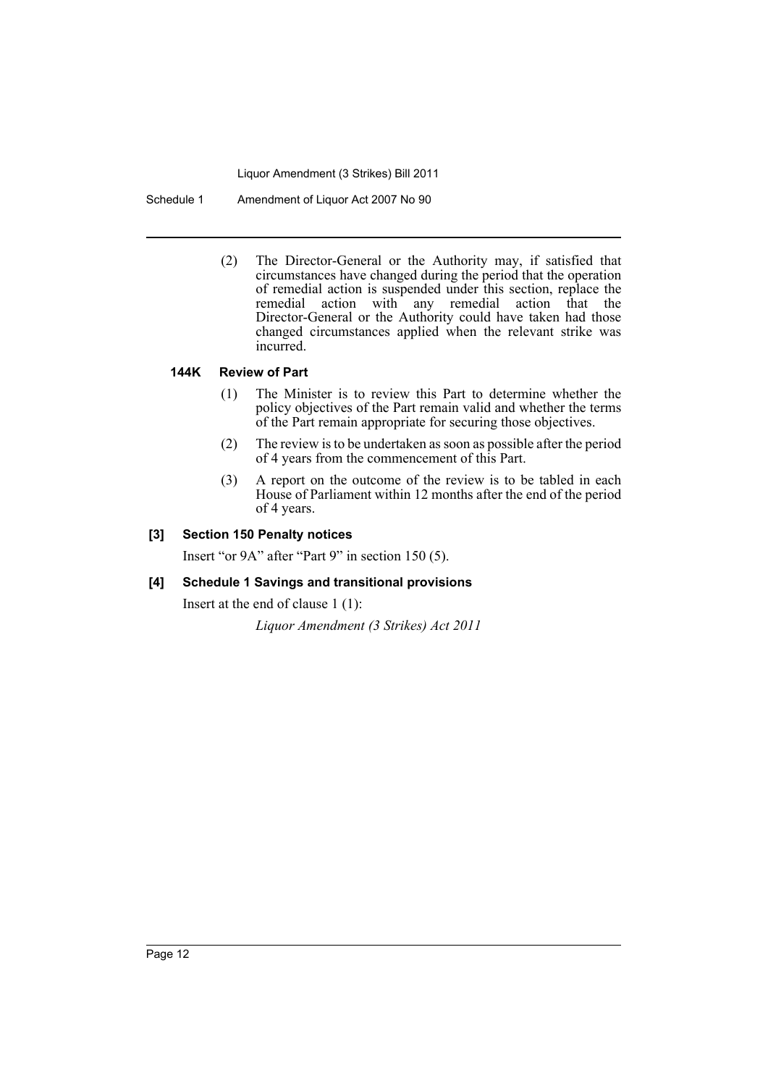Schedule 1 Amendment of Liquor Act 2007 No 90

(2) The Director-General or the Authority may, if satisfied that circumstances have changed during the period that the operation of remedial action is suspended under this section, replace the remedial action with any remedial action that the Director-General or the Authority could have taken had those changed circumstances applied when the relevant strike was incurred.

#### **144K Review of Part**

- (1) The Minister is to review this Part to determine whether the policy objectives of the Part remain valid and whether the terms of the Part remain appropriate for securing those objectives.
- (2) The review is to be undertaken as soon as possible after the period of 4 years from the commencement of this Part.
- (3) A report on the outcome of the review is to be tabled in each House of Parliament within 12 months after the end of the period of 4 years.

#### **[3] Section 150 Penalty notices**

Insert "or 9A" after "Part 9" in section 150 (5).

#### **[4] Schedule 1 Savings and transitional provisions**

Insert at the end of clause 1 (1):

*Liquor Amendment (3 Strikes) Act 2011*